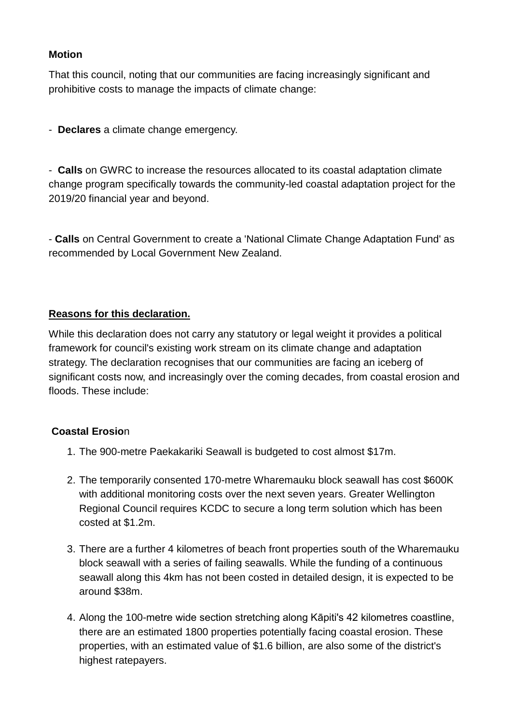## **Motion**

That this council, noting that our communities are facing increasingly significant and prohibitive costs to manage the impacts of climate change:

- **Declares** a climate change emergency.

- **Calls** on GWRC to increase the resources allocated to its coastal adaptation climate change program specifically towards the community-led coastal adaptation project for the 2019/20 financial year and beyond.

- **Calls** on Central Government to create a 'National Climate Change Adaptation Fund' as recommended by Local Government New Zealand.

## **Reasons for this declaration.**

While this declaration does not carry any statutory or legal weight it provides a political framework for council's existing work stream on its climate change and adaptation strategy. The declaration recognises that our communities are facing an iceberg of significant costs now, and increasingly over the coming decades, from coastal erosion and floods. These include:

# **Coastal Erosio**n

- 1. The 900-metre Paekakariki Seawall is budgeted to cost almost \$17m.
- 2. The temporarily consented 170-metre Wharemauku block seawall has cost \$600K with additional monitoring costs over the next seven vears. Greater Wellington Regional Council requires KCDC to secure a long term solution which has been costed at \$1.2m.
- 3. There are a further 4 kilometres of beach front properties south of the Wharemauku block seawall with a series of failing seawalls. While the funding of a continuous seawall along this 4km has not been costed in detailed design, it is expected to be around \$38m.
- 4. Along the 100-metre wide section stretching along Kāpiti's 42 kilometres coastline, there are an estimated 1800 properties potentially facing coastal erosion. These properties, with an estimated value of \$1.6 billion, are also some of the district's highest ratepayers.